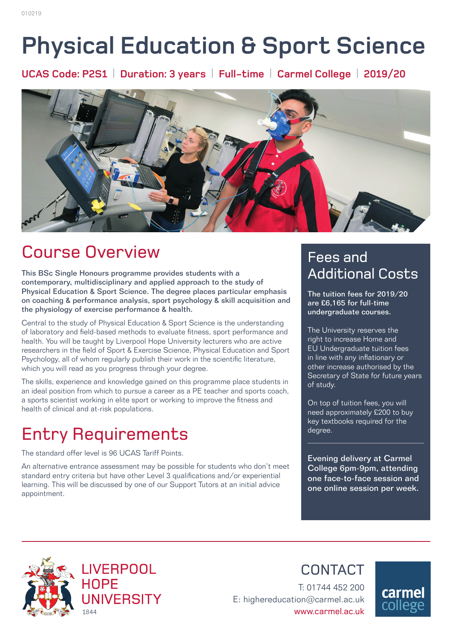# **Physical Education & Sport Science**

**UCAS Code: P2S1** | **Duration: 3 years** | **Full-time** | **Carmel College** | **2019/20**



# Course Overview

This BSc Single Honours programme provides students with a contemporary, multidisciplinary and applied approach to the study of Physical Education & Sport Science. The degree places particular emphasis on coaching & performance analysis, sport psychology & skill acquisition and the physiology of exercise performance & health.

Central to the study of Physical Education & Sport Science is the understanding of laboratory and field-based methods to evaluate fitness, sport performance and health. You will be taught by Liverpool Hope University lecturers who are active researchers in the field of Sport & Exercise Science, Physical Education and Sport Psychology, all of whom regularly publish their work in the scientific literature, which you will read as you progress through your degree.

The skills, experience and knowledge gained on this programme place students in an ideal position from which to pursue a career as a PE teacher and sports coach, a sports scientist working in elite sport or working to improve the fitness and health of clinical and at-risk populations.

# Entry Requirements

The standard offer level is 96 UCAS Tariff Points.

An alternative entrance assessment may be possible for students who don't meet standard entry criteria but have other Level 3 qualifications and/or experiential learning. This will be discussed by one of our Support Tutors at an initial advice appointment.

### Fees and Additional Costs

The tuition fees for 2019/20 are £6,165 for full-time undergraduate courses.

The University reserves the right to increase Home and EU Undergraduate tuition fees in line with any inflationary or other increase authorised by the Secretary of State for future years of study.

On top of tuition fees, you will need approximately £200 to buy key textbooks required for the degree.

Evening delivery at Carmel College 6pm-9pm, attending one face-to-face session and one online session per week.



**CONTACT** 

T: 01744 452 200 E: highereducation@carmel.ac.uk www.carmel.ac.uk